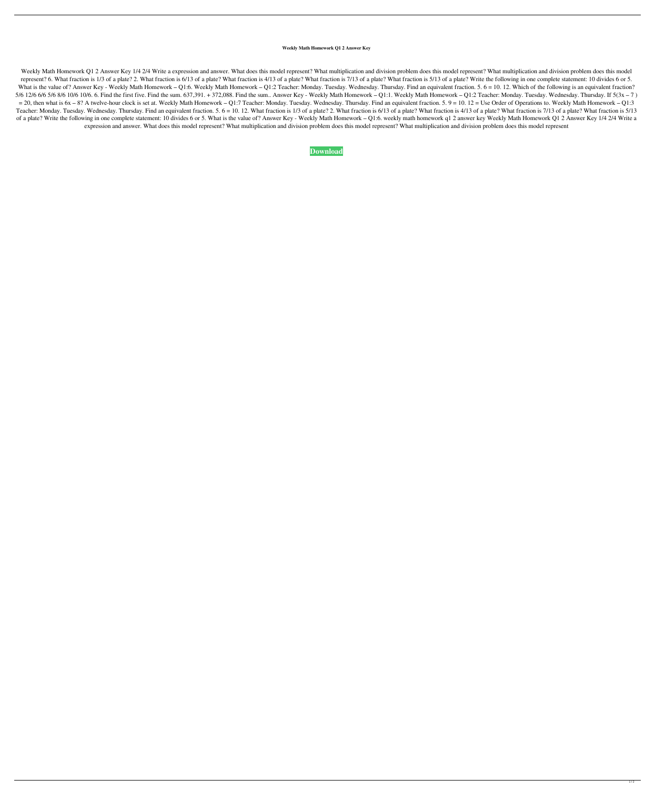## **Weekly Math Homework Q1 2 Answer Key**

Weekly Math Homework Q1 2 Answer Key 1/4 2/4 Write a expression and answer. What does this model represent? What multiplication and division problem does this model represent? What multiplication and division problem does represent? 6. What fraction is 1/3 of a plate? 2. What fraction is 6/13 of a plate? What fraction is 4/13 of a plate? What fraction is 5/13 of a plate? What fraction is 5/13 of a plate? What fraction is 5/13 of a plate? Wr What is the value of? Answer Key - Weekly Math Homework - Q1:6. Weekly Math Homework - Q1:2 Teacher: Monday. Tuesday. Wednesday. Thursday. Find an equivalent fraction. 5. 6 = 10. 12. Which of the following is an equivalent 5/6 12/6 6/6 5/6 8/6 10/6 10/6. 6. Find the first five. Find the sum. 637,391. + 372,088. Find the sum.. Answer Key - Weekly Math Homework - Q1:1. Weekly Math Homework - Q1:1. Weekly Math Homework - Q1:2 Teacher: Monday.  $= 20$ , then what is 6x – 8? A twelve-hour clock is set at. Weekly Math Homework – Q1:7 Teacher: Monday. Tuesday. Wednesday. Thursday. Find an equivalent fraction. 5. 9 = 10. 12 = Use Order of Operations to. Weekly Math H Teacher: Monday. Tuesday. Wednesday. Thursday. Find an equivalent fraction. 5. 6 = 10. 12. What fraction is 1/3 of a plate? 2. What fraction is 4/13 of a plate? What fraction is 7/13 of a plate? What fraction is 5/13 of a plate? Write the following in one complete statement: 10 divides 6 or 5. What is the value of? Answer Key - Weekly Math Homework q1 2 answer key Weekly Math Homework Q1 2 Answer Key 1/4 2/4 Write a expression and answer. What does this model represent? What multiplication and division problem does this model represent? What multiplication and division problem does this model represent

## **[Download](http://evacdir.com/adventitia.camouflaged?forza=d2Vla2x5IG1hdGggaG9tZXdvcmsgcTEgMiBhbnN3ZXIga2V5d2V&commandant=excerpted&imagines=ZG93bmxvYWR8NElBTW1vM2RYeDhNVFkxTWpjME1EZzJObng4TWpVM05IeDhLRTBwSUhKbFlXUXRZbXh2WnlCYlJtRnpkQ0JIUlU1ZA&williss..)**